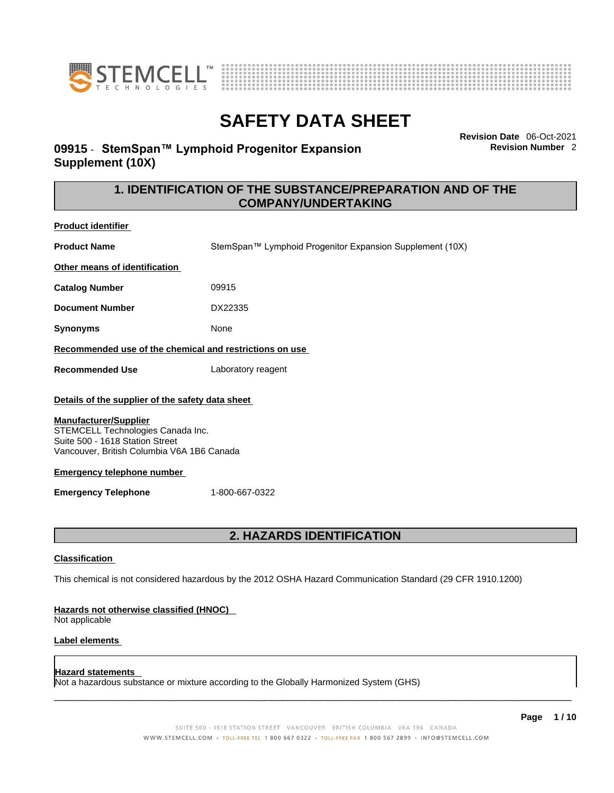



## **09915** - **StemSpan™ Lymphoid Progenitor Expansion Supplement (10X)**

**Revision Date** 06-Oct-2021 **Revision Number** 2

### **1. IDENTIFICATION OF THE SUBSTANCE/PREPARATION AND OF THE COMPANY/UNDERTAKING**

| <b>Product identifier</b>                                                                                                                                                                                                                                                                   |                                                                                                             |  |
|---------------------------------------------------------------------------------------------------------------------------------------------------------------------------------------------------------------------------------------------------------------------------------------------|-------------------------------------------------------------------------------------------------------------|--|
| <b>Product Name</b>                                                                                                                                                                                                                                                                         | StemSpan™ Lymphoid Progenitor Expansion Supplement (10X)                                                    |  |
| Other means of identification                                                                                                                                                                                                                                                               |                                                                                                             |  |
| <b>Catalog Number</b>                                                                                                                                                                                                                                                                       | 09915                                                                                                       |  |
| <b>Document Number</b>                                                                                                                                                                                                                                                                      | DX22335                                                                                                     |  |
| <b>Synonyms</b>                                                                                                                                                                                                                                                                             | None                                                                                                        |  |
| Recommended use of the chemical and restrictions on use                                                                                                                                                                                                                                     |                                                                                                             |  |
| <b>Recommended Use</b>                                                                                                                                                                                                                                                                      | Laboratory reagent                                                                                          |  |
| Details of the supplier of the safety data sheet<br><b>Manufacturer/Supplier</b><br>STEMCELL Technologies Canada Inc.<br>Suite 500 - 1618 Station Street<br>Vancouver, British Columbia V6A 1B6 Canada<br><b>Emergency telephone number</b><br>1-800-667-0322<br><b>Emergency Telephone</b> |                                                                                                             |  |
|                                                                                                                                                                                                                                                                                             | <b>2. HAZARDS IDENTIFICATION</b>                                                                            |  |
| Classification                                                                                                                                                                                                                                                                              | This chemical is not considered hazardous by the 2012 OSHA Hazard Communication Standard (29 CFR 1910.1200) |  |
| <b>Hazards not otherwise classified (HNOC)</b><br>Not applicable                                                                                                                                                                                                                            |                                                                                                             |  |
| Label elements                                                                                                                                                                                                                                                                              |                                                                                                             |  |

#### **Hazard statements**

Not a hazardous substance or mixture according to the Globally Harmonized System (GHS)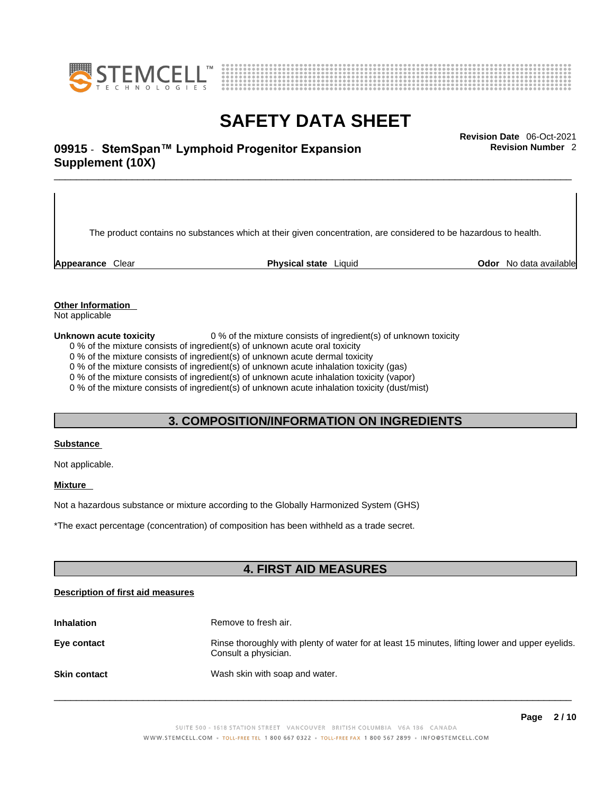



# \_\_\_\_\_\_\_\_\_\_\_\_\_\_\_\_\_\_\_\_\_\_\_\_\_\_\_\_\_\_\_\_\_\_\_\_\_\_\_\_\_\_\_\_\_\_\_\_\_\_\_\_\_\_\_\_\_\_\_\_\_\_\_\_\_\_\_\_\_\_\_\_\_\_\_\_\_\_\_\_\_\_\_\_\_\_\_\_\_\_\_\_\_ **Revision Date** 06-Oct-2021 **09915** - **StemSpan™ Lymphoid Progenitor Expansion Supplement (10X)**

The product contains no substances which at their given concentration, are considered to be hazardous to health.

**Appearance** Clear **Physical state** Liquid **Odor** No data available

**Revision Number** 2

**Other Information** 

Not applicable

**Unknown acute toxicity** 0 % of the mixture consists of ingredient(s) of unknown toxicity

0 % of the mixture consists of ingredient(s) of unknown acute oral toxicity

0 % of the mixture consists of ingredient(s) of unknown acute dermal toxicity

0 % of the mixture consists of ingredient(s) of unknown acute inhalation toxicity (gas)

0 % of the mixture consists of ingredient(s) of unknown acute inhalation toxicity (vapor)

0 % of the mixture consists of ingredient(s) of unknown acute inhalation toxicity (dust/mist)

### **3. COMPOSITION/INFORMATION ON INGREDIENTS**

#### **Substance**

Not applicable.

#### **Mixture**

Not a hazardous substance or mixture according to the Globally Harmonized System (GHS)

\*The exact percentage (concentration) ofcomposition has been withheld as a trade secret.

### **4. FIRST AID MEASURES**

#### **Description of first aid measures**

| <b>Inhalation</b>   | Remove to fresh air.                                                                                                    |
|---------------------|-------------------------------------------------------------------------------------------------------------------------|
| Eye contact         | Rinse thoroughly with plenty of water for at least 15 minutes, lifting lower and upper eyelids.<br>Consult a physician. |
| <b>Skin contact</b> | Wash skin with soap and water.                                                                                          |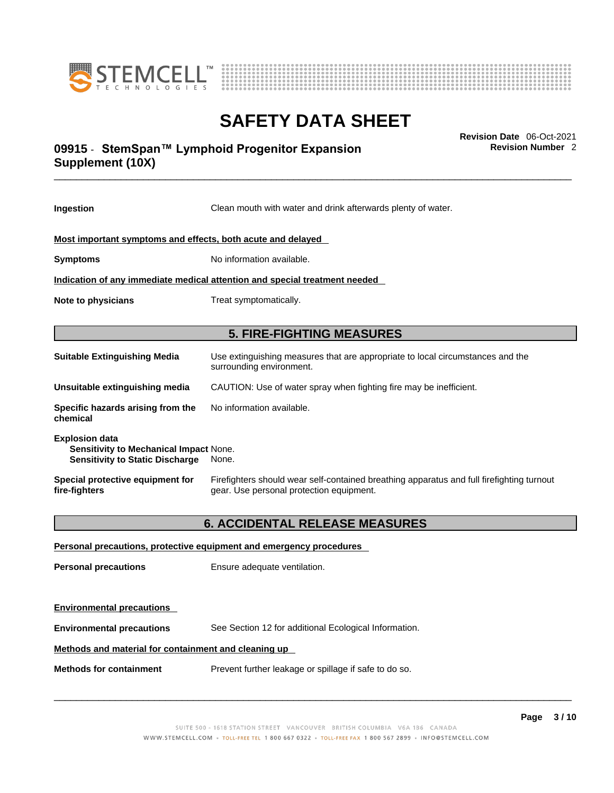



# \_\_\_\_\_\_\_\_\_\_\_\_\_\_\_\_\_\_\_\_\_\_\_\_\_\_\_\_\_\_\_\_\_\_\_\_\_\_\_\_\_\_\_\_\_\_\_\_\_\_\_\_\_\_\_\_\_\_\_\_\_\_\_\_\_\_\_\_\_\_\_\_\_\_\_\_\_\_\_\_\_\_\_\_\_\_\_\_\_\_\_\_\_ **Revision Date** 06-Oct-2021 **09915** - **StemSpan™ Lymphoid Progenitor Expansion Supplement (10X)**

**Ingestion** Clean mouth with water and drink afterwards plenty of water. **Most important symptoms and effects, both acute and delayed Symptoms** No information available. **Indication of any immediate medical attention and special treatment needed Note to physicians** Treat symptomatically. **5. FIRE-FIGHTING MEASURES Suitable Extinguishing Media** Use extinguishing measures that are appropriate to local circumstances and the surrounding environment. **Unsuitable extinguishing media** CAUTION: Use of water spray when fighting fire may be inefficient. **Specific hazards arising from the chemical** No information available. **Explosion data Sensitivity to Mechanical Impact** None. **Sensitivity to Static Discharge** None. **Special protective equipment for fire-fighters** Firefighters should wear self-contained breathing apparatus and full firefighting turnout gear. Use personal protection equipment. **6. ACCIDENTAL RELEASE MEASURES** 

**Personal precautions, protective equipment and emergency procedures Personal precautions** Ensure adequate ventilation. **Environmental precautions Environmental precautions** See Section 12 for additional Ecological Information. **Methods and material for containment and cleaning up Methods for containment** Prevent further leakage or spillage if safe to do so.

 $\_$  ,  $\_$  ,  $\_$  ,  $\_$  ,  $\_$  ,  $\_$  ,  $\_$  ,  $\_$  ,  $\_$  ,  $\_$  ,  $\_$  ,  $\_$  ,  $\_$  ,  $\_$  ,  $\_$  ,  $\_$  ,  $\_$  ,  $\_$  ,  $\_$  ,  $\_$  ,  $\_$  ,  $\_$  ,  $\_$  ,  $\_$  ,  $\_$  ,  $\_$  ,  $\_$  ,  $\_$  ,  $\_$  ,  $\_$  ,  $\_$  ,  $\_$  ,  $\_$  ,  $\_$  ,  $\_$  ,  $\_$  ,  $\_$  ,

**Revision Number** 2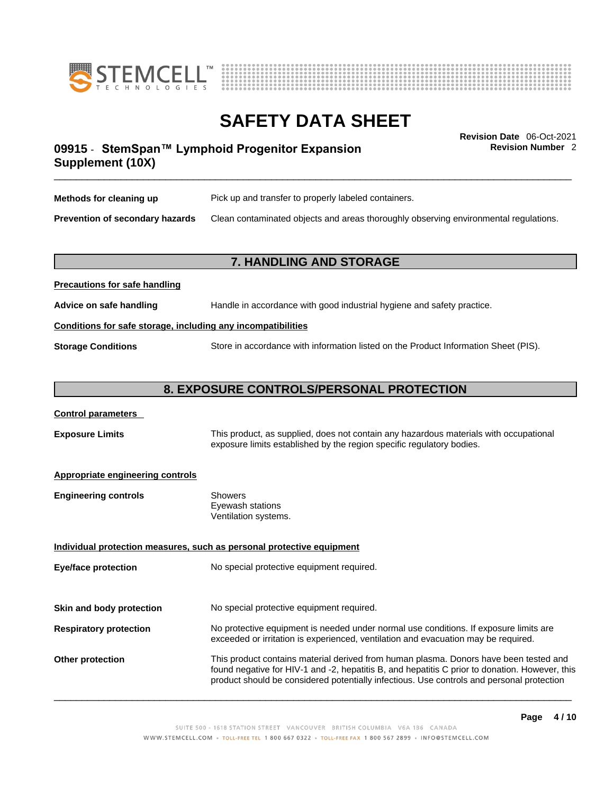



**Revision Number** 2

# \_\_\_\_\_\_\_\_\_\_\_\_\_\_\_\_\_\_\_\_\_\_\_\_\_\_\_\_\_\_\_\_\_\_\_\_\_\_\_\_\_\_\_\_\_\_\_\_\_\_\_\_\_\_\_\_\_\_\_\_\_\_\_\_\_\_\_\_\_\_\_\_\_\_\_\_\_\_\_\_\_\_\_\_\_\_\_\_\_\_\_\_\_ **Revision Date** 06-Oct-2021 **09915** - **StemSpan™ Lymphoid Progenitor Expansion Supplement (10X)**

| Methods for cleaning up                | Pick up and transfer to properly labeled containers.                                 |
|----------------------------------------|--------------------------------------------------------------------------------------|
| <b>Prevention of secondary hazards</b> | Clean contaminated objects and areas thoroughly observing environmental regulations. |

### **7. HANDLING AND STORAGE**

| Advice on safe handling                                      | Handle in accordance with good industrial hygiene and safety practice.              |  |
|--------------------------------------------------------------|-------------------------------------------------------------------------------------|--|
| Conditions for safe storage, including any incompatibilities |                                                                                     |  |
| <b>Storage Conditions</b>                                    | Store in accordance with information listed on the Product Information Sheet (PIS). |  |

### **8. EXPOSURE CONTROLS/PERSONAL PROTECTION**

#### **Control parameters**

**Precautions for safe handling**

**Exposure Limits** This product, as supplied, does not contain any hazardous materials with occupational exposure limits established by the region specific regulatory bodies.

#### **Appropriate engineering controls**

| <b>Engineering controls</b> | Showers              |
|-----------------------------|----------------------|
|                             | Eyewash stations     |
|                             | Ventilation systems. |

**Individual protection measures, such as personal protective equipment Eye/face protection** No special protective equipment required.

**Skin and body protection** No special protective equipment required.

# **Respiratory protection** No protective equipment is needed under normal use conditions. If exposure limits are exceeded or irritation is experienced, ventilation and evacuation may be required.

**Other protection** This product contains material derived from human plasma. Donors have been tested and found negative for HIV-1 and -2, hepatitis B, and hepatitis C prior to donation. However, this product should be considered potentially infectious. Use controls and personal protection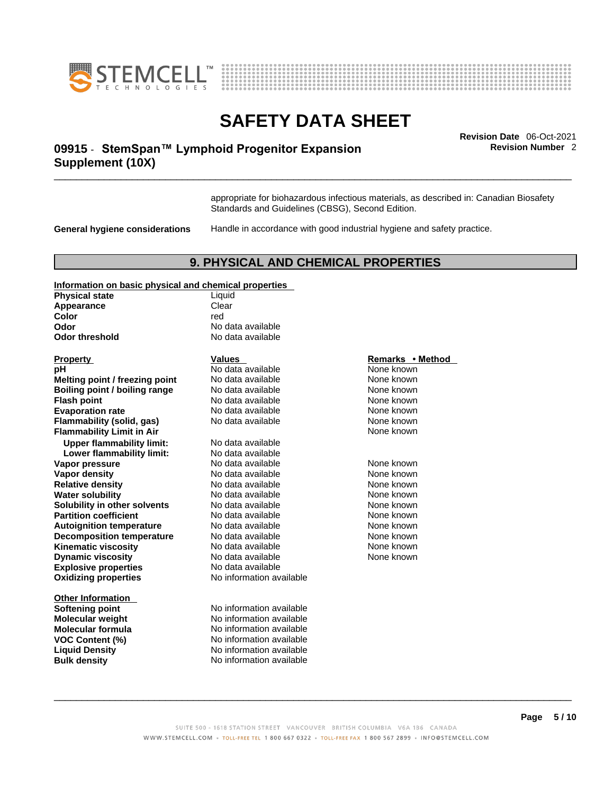



# \_\_\_\_\_\_\_\_\_\_\_\_\_\_\_\_\_\_\_\_\_\_\_\_\_\_\_\_\_\_\_\_\_\_\_\_\_\_\_\_\_\_\_\_\_\_\_\_\_\_\_\_\_\_\_\_\_\_\_\_\_\_\_\_\_\_\_\_\_\_\_\_\_\_\_\_\_\_\_\_\_\_\_\_\_\_\_\_\_\_\_\_\_ **Revision Date** 06-Oct-2021 **09915** - **StemSpan™ Lymphoid Progenitor Expansion Supplement (10X)**

**Revision Number** 2

appropriate for biohazardous infectious materials, as described in: Canadian Biosafety Standards and Guidelines (CBSG), Second Edition.

**General hygiene considerations** Handle in accordance with good industrial hygiene and safety practice.

### **9. PHYSICAL AND CHEMICAL PROPERTIES**

#### **Information on basic physical and chemical properties**

| <b>Physical state</b>            | Liquid                   |                  |
|----------------------------------|--------------------------|------------------|
| Appearance                       | Clear                    |                  |
| Color                            | red                      |                  |
| Odor                             | No data available        |                  |
| <b>Odor threshold</b>            | No data available        |                  |
| <b>Property</b>                  | <b>Values</b>            | Remarks • Method |
| рH                               | No data available        | None known       |
| Melting point / freezing point   | No data available        | None known       |
| Boiling point / boiling range    | No data available        | None known       |
| <b>Flash point</b>               | No data available        | None known       |
| <b>Evaporation rate</b>          | No data available        | None known       |
| Flammability (solid, gas)        | No data available        | None known       |
| <b>Flammability Limit in Air</b> |                          | None known       |
| <b>Upper flammability limit:</b> | No data available        |                  |
| Lower flammability limit:        | No data available        |                  |
| Vapor pressure                   | No data available        | None known       |
| <b>Vapor density</b>             | No data available        | None known       |
| <b>Relative density</b>          | No data available        | None known       |
| <b>Water solubility</b>          | No data available        | None known       |
| Solubility in other solvents     | No data available        | None known       |
| <b>Partition coefficient</b>     | No data available        | None known       |
| <b>Autoignition temperature</b>  | No data available        | None known       |
| <b>Decomposition temperature</b> | No data available        | None known       |
| <b>Kinematic viscosity</b>       | No data available        | None known       |
| <b>Dynamic viscosity</b>         | No data available        | None known       |
| <b>Explosive properties</b>      | No data available        |                  |
| <b>Oxidizing properties</b>      | No information available |                  |
| <b>Other Information</b>         |                          |                  |
| <b>Softening point</b>           | No information available |                  |
| Molecular weight                 | No information available |                  |
| Molecular formula                | No information available |                  |
| <b>VOC Content (%)</b>           | No information available |                  |
| <b>Liquid Density</b>            | No information available |                  |
| <b>Bulk density</b>              | No information available |                  |

#### **Remarks • Method**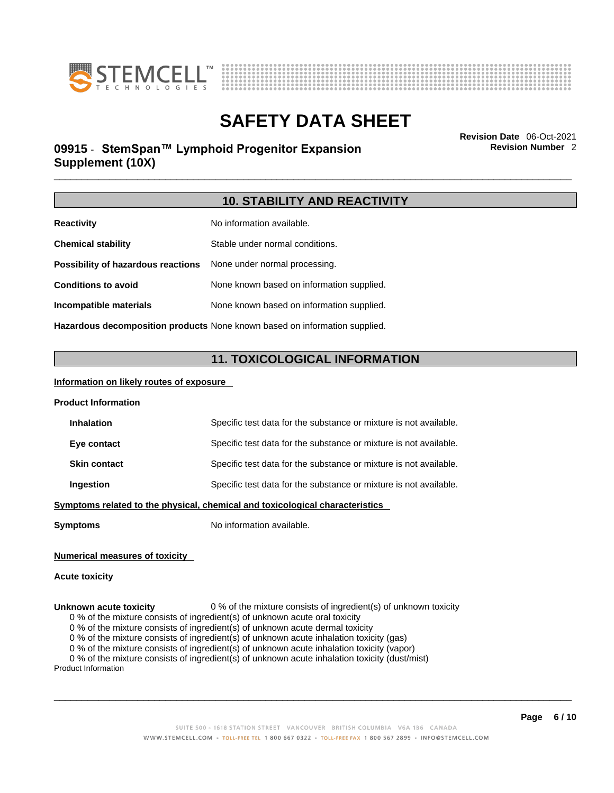



# \_\_\_\_\_\_\_\_\_\_\_\_\_\_\_\_\_\_\_\_\_\_\_\_\_\_\_\_\_\_\_\_\_\_\_\_\_\_\_\_\_\_\_\_\_\_\_\_\_\_\_\_\_\_\_\_\_\_\_\_\_\_\_\_\_\_\_\_\_\_\_\_\_\_\_\_\_\_\_\_\_\_\_\_\_\_\_\_\_\_\_\_\_ **Revision Date** 06-Oct-2021 **09915** - **StemSpan™ Lymphoid Progenitor Expansion Supplement (10X)**

**Revision Number** 2

### **10. STABILITY AND REACTIVITY**

| <b>Reactivity</b>                                                       | No information available.                 |  |
|-------------------------------------------------------------------------|-------------------------------------------|--|
| <b>Chemical stability</b>                                               | Stable under normal conditions.           |  |
| <b>Possibility of hazardous reactions</b> None under normal processing. |                                           |  |
| <b>Conditions to avoid</b>                                              | None known based on information supplied. |  |
| Incompatible materials                                                  | None known based on information supplied. |  |
|                                                                         |                                           |  |

**Hazardous decomposition products** None known based on information supplied.

### **11. TOXICOLOGICAL INFORMATION**

#### **Information on likely routes of exposure**

| <b>Product Information</b>                                                   |                                                                   |  |
|------------------------------------------------------------------------------|-------------------------------------------------------------------|--|
| <b>Inhalation</b>                                                            | Specific test data for the substance or mixture is not available. |  |
| Eye contact                                                                  | Specific test data for the substance or mixture is not available. |  |
| <b>Skin contact</b>                                                          | Specific test data for the substance or mixture is not available. |  |
| Ingestion                                                                    | Specific test data for the substance or mixture is not available. |  |
| Symptoms related to the physical, chemical and toxicological characteristics |                                                                   |  |

**Symptoms** No information available.

### **Numerical measures of toxicity**

#### **Acute toxicity**

#### **Unknown acute toxicity** 0 % of the mixture consists of ingredient(s) of unknown toxicity

0 % of the mixture consists of ingredient(s) of unknown acute oral toxicity

0 % of the mixture consists of ingredient(s) of unknown acute dermal toxicity

0 % of the mixture consists of ingredient(s) of unknown acute inhalation toxicity (gas)

0 % of the mixture consists of ingredient(s) of unknown acute inhalation toxicity (vapor)

0 % of the mixture consists of ingredient(s) of unknown acute inhalation toxicity (dust/mist)

Product Information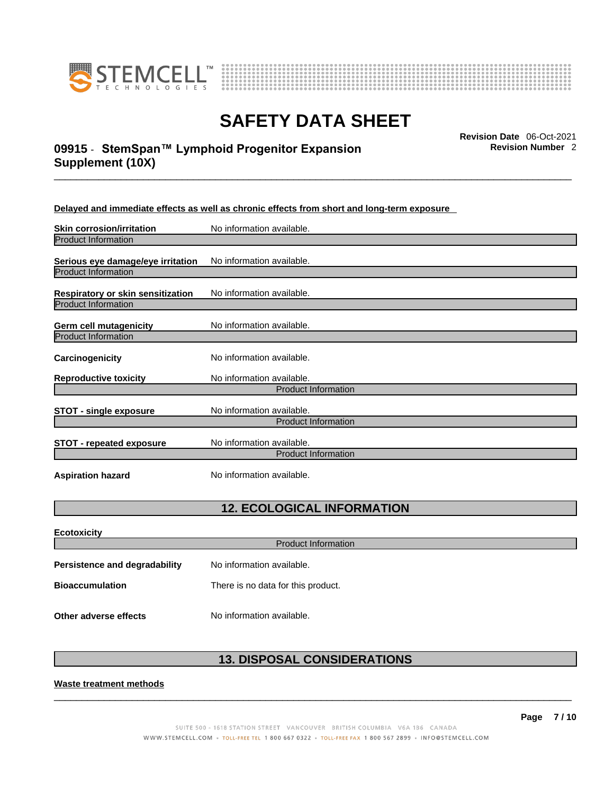



# \_\_\_\_\_\_\_\_\_\_\_\_\_\_\_\_\_\_\_\_\_\_\_\_\_\_\_\_\_\_\_\_\_\_\_\_\_\_\_\_\_\_\_\_\_\_\_\_\_\_\_\_\_\_\_\_\_\_\_\_\_\_\_\_\_\_\_\_\_\_\_\_\_\_\_\_\_\_\_\_\_\_\_\_\_\_\_\_\_\_\_\_\_ **Revision Date** 06-Oct-2021 **09915** - **StemSpan™ Lymphoid Progenitor Expansion Supplement (10X)**

**Revision Number** 2

**Delayed and immediate effects as well as chronic effects from short and long-term exposure**

| <b>Skin corrosion/irritation</b>  | No information available.                               |
|-----------------------------------|---------------------------------------------------------|
| <b>Product Information</b>        |                                                         |
| Serious eye damage/eye irritation | No information available.                               |
| <b>Product Information</b>        |                                                         |
| Respiratory or skin sensitization | No information available.                               |
| <b>Product Information</b>        |                                                         |
| Germ cell mutagenicity            | No information available.                               |
| <b>Product Information</b>        |                                                         |
| Carcinogenicity                   | No information available.                               |
| <b>Reproductive toxicity</b>      | No information available.                               |
|                                   | <b>Product Information</b>                              |
| <b>STOT - single exposure</b>     | No information available.                               |
|                                   | <b>Product Information</b>                              |
| <b>STOT - repeated exposure</b>   | No information available.<br><b>Product Information</b> |
|                                   |                                                         |
| <b>Aspiration hazard</b>          | No information available.                               |

## **12. ECOLOGICAL INFORMATION**

| <b>Ecotoxicity</b>            |                                    |  |
|-------------------------------|------------------------------------|--|
| <b>Product Information</b>    |                                    |  |
| Persistence and degradability | No information available.          |  |
| <b>Bioaccumulation</b>        | There is no data for this product. |  |
| Other adverse effects         | No information available.          |  |

## **13. DISPOSAL CONSIDERATIONS**

 $\_$  ,  $\_$  ,  $\_$  ,  $\_$  ,  $\_$  ,  $\_$  ,  $\_$  ,  $\_$  ,  $\_$  ,  $\_$  ,  $\_$  ,  $\_$  ,  $\_$  ,  $\_$  ,  $\_$  ,  $\_$  ,  $\_$  ,  $\_$  ,  $\_$  ,  $\_$  ,  $\_$  ,  $\_$  ,  $\_$  ,  $\_$  ,  $\_$  ,  $\_$  ,  $\_$  ,  $\_$  ,  $\_$  ,  $\_$  ,  $\_$  ,  $\_$  ,  $\_$  ,  $\_$  ,  $\_$  ,  $\_$  ,  $\_$  ,

**Waste treatment methods**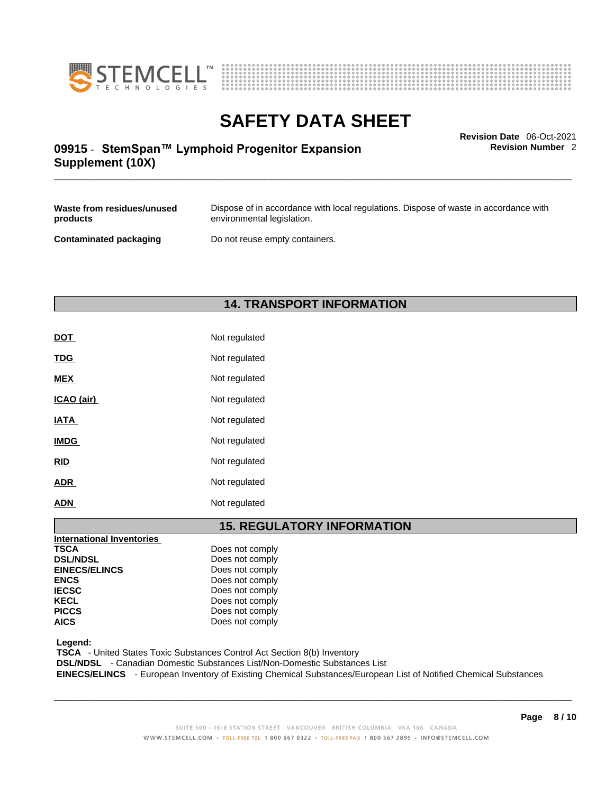



\_\_\_\_\_\_\_\_\_\_\_\_\_\_\_\_\_\_\_\_\_\_\_\_\_\_\_\_\_\_\_\_\_\_\_\_\_\_\_\_\_\_\_\_\_\_\_\_\_\_\_\_\_\_\_\_\_\_\_\_\_\_\_\_\_\_\_\_\_\_\_\_\_\_\_\_\_\_\_\_\_\_\_\_\_\_\_\_\_\_\_\_\_ **Revision Date** 06-Oct-2021 **09915** - **StemSpan™ Lymphoid Progenitor Expansion Supplement (10X)** 

**Revision Number** 2

| Waste from residues/unused | Dispose of in accordance with local regulations. Dispose of waste in accordance with |
|----------------------------|--------------------------------------------------------------------------------------|
| products                   | environmental legislation.                                                           |
| Contaminated packaging     | Do not reuse empty containers.                                                       |

## **14. TRANSPORT INFORMATION**

| <b>DOT</b>  | Not regulated |
|-------------|---------------|
| <b>TDG</b>  | Not regulated |
| <b>MEX</b>  | Not regulated |
| ICAO (air)  | Not regulated |
| <b>IATA</b> | Not regulated |
| <b>IMDG</b> | Not regulated |
| <b>RID</b>  | Not regulated |
| <b>ADR</b>  | Not regulated |
| <b>ADN</b>  | Not regulated |

# **15. REGULATORY INFORMATION**

| Does not comply |
|-----------------|
| Does not comply |
| Does not comply |
| Does not comply |
| Does not comply |
| Does not comply |
| Does not comply |
| Does not comply |
|                 |

 **Legend:** 

 **TSCA** - United States Toxic Substances Control Act Section 8(b) Inventory

 **DSL/NDSL** - Canadian Domestic Substances List/Non-Domestic Substances List

 **EINECS/ELINCS** - European Inventory of Existing Chemical Substances/European List of Notified Chemical Substances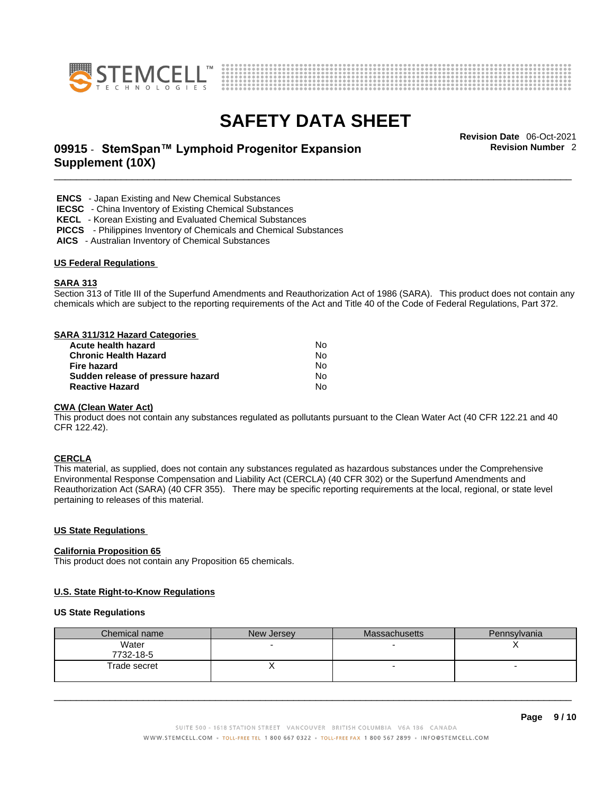



# \_\_\_\_\_\_\_\_\_\_\_\_\_\_\_\_\_\_\_\_\_\_\_\_\_\_\_\_\_\_\_\_\_\_\_\_\_\_\_\_\_\_\_\_\_\_\_\_\_\_\_\_\_\_\_\_\_\_\_\_\_\_\_\_\_\_\_\_\_\_\_\_\_\_\_\_\_\_\_\_\_\_\_\_\_\_\_\_\_\_\_\_\_ **Revision Date** 06-Oct-2021 **09915** - **StemSpan™ Lymphoid Progenitor Expansion Supplement (10X)**

**Revision Number** 2

 **ENCS** - Japan Existing and New Chemical Substances

 **IECSC** - China Inventory of Existing Chemical Substances

 **KECL** - Korean Existing and Evaluated Chemical Substances

 **PICCS** - Philippines Inventory of Chemicals and Chemical Substances

 **AICS** - Australian Inventory of Chemical Substances

#### **US Federal Regulations**

#### **SARA 313**

Section 313 of Title III of the Superfund Amendments and Reauthorization Act of 1986 (SARA). This product does not contain any chemicals which are subject to the reporting requirements of the Act and Title 40 of the Code of Federal Regulations, Part 372.

#### **SARA 311/312 Hazard Categories**

| Acute health hazard               | Nο |  |
|-----------------------------------|----|--|
| <b>Chronic Health Hazard</b>      | N٥ |  |
| Fire hazard                       | N٥ |  |
| Sudden release of pressure hazard | N٥ |  |
| <b>Reactive Hazard</b>            | N٥ |  |

#### **CWA** (Clean Water Act)

This product does not contain any substances regulated as pollutants pursuant to the Clean Water Act (40 CFR 122.21 and 40 CFR 122.42).

#### **CERCLA**

This material, as supplied, does not contain any substances regulated as hazardous substances under the Comprehensive Environmental Response Compensation and Liability Act (CERCLA) (40 CFR 302) or the Superfund Amendments and Reauthorization Act (SARA) (40 CFR 355). There may be specific reporting requirements at the local, regional, or state level pertaining to releases of this material.

#### **US State Regulations**

#### **California Proposition 65**

This product does not contain any Proposition 65 chemicals.

#### **U.S. State Right-to-Know Regulations**

#### **US State Regulations**

| Chemical name | New Jersey | Massachusetts | Pennsylvania |
|---------------|------------|---------------|--------------|
| Water         |            |               |              |
| 7732-18-5     |            |               |              |
| Trade secret  |            |               |              |
|               |            |               |              |